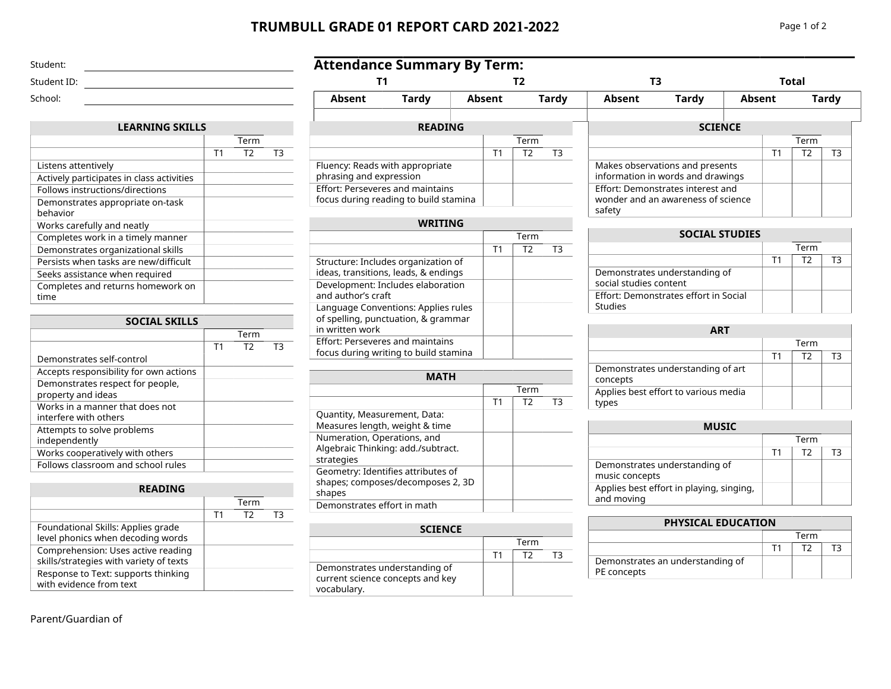# **TRUMBULL GRADE 01 REPORT CARD 2021-2022** Page 1 of 2

phrasing and expression Effort: Perseveres and maintains focus during reading to build stamina

| Student:    |  |
|-------------|--|
| Student ID: |  |
| School:     |  |

| <b>LEARNING SKILLS</b>                       |    |      |    |
|----------------------------------------------|----|------|----|
|                                              |    | Term |    |
|                                              | Τ1 | T2   | T3 |
| Listens attentively                          |    |      |    |
| Actively participates in class activities    |    |      |    |
| Follows instructions/directions              |    |      |    |
| Demonstrates appropriate on-task<br>hehavior |    |      |    |
| Works carefully and neatly                   |    |      |    |
| Completes work in a timely manner            |    |      |    |
| Demonstrates organizational skills           |    |      |    |
| Persists when tasks are new/difficult        |    |      |    |
| Seeks assistance when required               |    |      |    |
| Completes and returns homework on<br>time    |    |      |    |

| <b>SOCIAL SKILLS</b>                                     |                |                |    |
|----------------------------------------------------------|----------------|----------------|----|
|                                                          | Term           |                |    |
|                                                          | T <sub>1</sub> | T <sub>2</sub> | тз |
| Demonstrates self-control                                |                |                |    |
| Accepts responsibility for own actions                   |                |                |    |
| Demonstrates respect for people,<br>property and ideas   |                |                |    |
| Works in a manner that does not<br>interfere with others |                |                |    |
| Attempts to solve problems<br>independently              |                |                |    |
| Works cooperatively with others                          |                |                |    |
| Follows classroom and school rules                       |                |                |    |

### **READING**

|                                                                               |    | Term |    |
|-------------------------------------------------------------------------------|----|------|----|
|                                                                               | T1 | T2   | т२ |
| Foundational Skills: Applies grade<br>level phonics when decoding words       |    |      |    |
| Comprehension: Uses active reading<br>skills/strategies with variety of texts |    |      |    |
| Response to Text: supports thinking<br>with evidence from text                |    |      |    |

# Parent/Guardian of

| <b>Attendance Summary By Term:</b> |                |        |    |      |                |        |                                 |               |    |       |              |
|------------------------------------|----------------|--------|----|------|----------------|--------|---------------------------------|---------------|----|-------|--------------|
|                                    |                |        |    |      |                | ТЗ     |                                 |               |    | Total |              |
| Absent                             | Tardy          | Absent |    |      | Tardy          | Absent | <b>Tardy</b>                    | <b>Absent</b> |    |       | <b>Tardy</b> |
|                                    | <b>READING</b> |        |    |      |                |        | <b>SCIENCE</b>                  |               |    |       |              |
|                                    |                |        |    | Term |                |        |                                 |               |    | Term  |              |
|                                    |                |        | Τ1 | T2   | T <sub>3</sub> |        |                                 |               | Τ1 | T2    | ΤЗ           |
| Fluency: Reads with appropriate    |                |        |    |      |                |        | Makes observations and presents |               |    |       |              |

safety

|                                                                                               |                | Term |    |
|-----------------------------------------------------------------------------------------------|----------------|------|----|
|                                                                                               | T <sub>1</sub> | T2   | тз |
| Structure: Includes organization of<br>ideas, transitions, leads, & endings                   |                |      |    |
| Development: Includes elaboration<br>and author's craft                                       |                |      |    |
| Language Conventions: Applies rules<br>of spelling, punctuation, & grammar<br>in written work |                |      |    |
| <b>Effort: Perseveres and maintains</b><br>focus during writing to build stamina              |                |      |    |

| MATH                                                                              |                |                |    |  |  |  |
|-----------------------------------------------------------------------------------|----------------|----------------|----|--|--|--|
|                                                                                   |                | Term           |    |  |  |  |
|                                                                                   | T <sub>1</sub> | T <sub>2</sub> | TЗ |  |  |  |
| Quantity, Measurement, Data:<br>Measures length, weight & time                    |                |                |    |  |  |  |
| Numeration, Operations, and<br>Algebraic Thinking: add./subtract.<br>strategies   |                |                |    |  |  |  |
| Geometry: Identifies attributes of<br>shapes; composes/decomposes 2, 3D<br>shapes |                |                |    |  |  |  |
| Demonstrates effort in math                                                       |                |                |    |  |  |  |

| <b>SCIENCE</b>                                                                   |    |      |  |
|----------------------------------------------------------------------------------|----|------|--|
|                                                                                  |    | Term |  |
|                                                                                  | T1 | エフ   |  |
| Demonstrates understanding of<br>current science concepts and key<br>vocabulary. |    |      |  |

# Effort: Demonstrates interest and wonder and an awareness of science

information in words and drawings

| <b>SOCIAL STUDIES</b>                                   |    |      |    |
|---------------------------------------------------------|----|------|----|
|                                                         |    | Term |    |
|                                                         | T1 | T2   | тз |
| Demonstrates understanding of<br>social studies content |    |      |    |
| Effort: Demonstrates effort in Social<br><b>Studies</b> |    |      |    |

| <b>ART</b>                                    |    |      |    |
|-----------------------------------------------|----|------|----|
|                                               |    | Term |    |
|                                               | Τ1 | T2   | тз |
| Demonstrates understanding of art<br>concepts |    |      |    |
| Applies best effort to various media<br>tvpes |    |      |    |

| <b>MUSIC</b>                                           |    |      |    |
|--------------------------------------------------------|----|------|----|
|                                                        |    | Term |    |
|                                                        | Τ1 | т۶   | гз |
| Demonstrates understanding of<br>music concepts        |    |      |    |
| Applies best effort in playing, singing,<br>and moving |    |      |    |

## **PHYSICAL EDUCATION**

|                                                 | Term |  |  |  |
|-------------------------------------------------|------|--|--|--|
|                                                 |      |  |  |  |
| Demonstrates an understanding of<br>PE concepts |      |  |  |  |

 $T3$